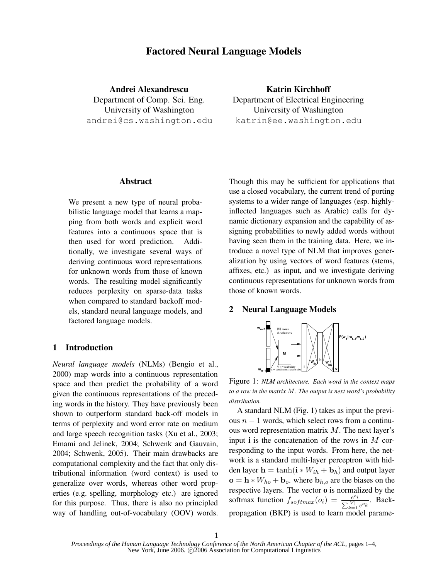# **Factored Neural Language Models**

**Andrei Alexandrescu** Department of Comp. Sci. Eng. University of Washington andrei@cs.washington.edu

**Katrin Kirchhoff** Department of Electrical Engineering University of Washington katrin@ee.washington.edu

### **Abstract**

We present a new type of neural probabilistic language model that learns a mapping from both words and explicit word features into a continuous space that is then used for word prediction. Additionally, we investigate several ways of deriving continuous word representations for unknown words from those of known words. The resulting model significantly reduces perplexity on sparse-data tasks when compared to standard backoff models, standard neural language models, and factored language models.

# **1 Introduction**

*Neural language models* (NLMs) (Bengio et al., 2000) map words into a continuous representation space and then predict the probability of a word given the continuous representations of the preceding words in the history. They have previously been shown to outperform standard back-off models in terms of perplexity and word error rate on medium and large speech recognition tasks (Xu et al., 2003; Emami and Jelinek, 2004; Schwenk and Gauvain, 2004; Schwenk, 2005). Their main drawbacks are computational complexity and the fact that only distributional information (word context) is used to generalize over words, whereas other word properties (e.g. spelling, morphology etc.) are ignored for this purpose. Thus, there is also no principled way of handling out-of-vocabulary (OOV) words.

Though this may be sufficient for applications that use a closed vocabulary, the current trend of porting systems to a wider range of languages (esp. highlyinflected languages such as Arabic) calls for dynamic dictionary expansion and the capability of assigning probabilities to newly added words without having seen them in the training data. Here, we introduce a novel type of NLM that improves generalization by using vectors of word features (stems, affixes, etc.) as input, and we investigate deriving continuous representations for unknown words from those of known words.

# **2 Neural Language Models**



Figure 1: *NLM architecture. Each word in the context maps to a row in the matrix* M*. The output is next word's probability distribution.*

A standard NLM (Fig. 1) takes as input the previous  $n - 1$  words, which select rows from a continuous word representation matrix M. The next layer's input **i** is the concatenation of the rows in M corresponding to the input words. From here, the network is a standard multi-layer perceptron with hidden layer  $\mathbf{h} = \tanh(\mathbf{i} * W_{ih} + \mathbf{b}_h)$  and output layer  $\mathbf{o} = \mathbf{h} * W_{ho} + \mathbf{b}_{o}$ , where  $\mathbf{b}_{h,o}$  are the biases on the respective layers. The vector **o** is normalized by the softmax function  $f_{softmax}(o_i) = \frac{e^{o_i}}{\sqrt{|V|}}$  $\frac{e^{U_i}}{\sum_{k=1}^{|V|} e^{O_k}}$ . Backpropagation (BKP) is used to learn model parame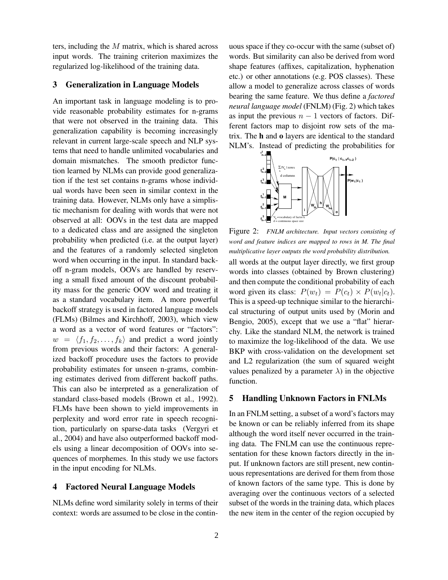ters, including the M matrix, which is shared across input words. The training criterion maximizes the regularized log-likelihood of the training data.

### **3 Generalization in Language Models**

An important task in language modeling is to provide reasonable probability estimates for n-grams that were not observed in the training data. This generalization capability is becoming increasingly relevant in current large-scale speech and NLP systems that need to handle unlimited vocabularies and domain mismatches. The smooth predictor function learned by NLMs can provide good generalization if the test set contains n-grams whose individual words have been seen in similar context in the training data. However, NLMs only have a simplistic mechanism for dealing with words that were not observed at all: OOVs in the test data are mapped to a dedicated class and are assigned the singleton probability when predicted (i.e. at the output layer) and the features of a randomly selected singleton word when occurring in the input. In standard backoff n-gram models, OOVs are handled by reserving a small fixed amount of the discount probability mass for the generic OOV word and treating it as a standard vocabulary item. A more powerful backoff strategy is used in factored language models (FLMs) (Bilmes and Kirchhoff, 2003), which view a word as a vector of word features or "factors":  $w = \langle f_1, f_2, \dots, f_k \rangle$  and predict a word jointly from previous words and their factors: A generalized backoff procedure uses the factors to provide probability estimates for unseen n-grams, combining estimates derived from different backoff paths. This can also be interpreted as a generalization of standard class-based models (Brown et al., 1992). FLMs have been shown to yield improvements in perplexity and word error rate in speech recognition, particularly on sparse-data tasks (Vergyri et al., 2004) and have also outperformed backoff models using a linear decomposition of OOVs into sequences of morphemes. In this study we use factors in the input encoding for NLMs.

## **4 Factored Neural Language Models**

NLMs define word similarity solely in terms of their context: words are assumed to be close in the continuous space if they co-occur with the same (subset of) words. But similarity can also be derived from word shape features (affixes, capitalization, hyphenation etc.) or other annotations (e.g. POS classes). These allow a model to generalize across classes of words bearing the same feature. We thus define a *factored neural language model* (FNLM) (Fig. 2) which takes as input the previous  $n - 1$  vectors of factors. Different factors map to disjoint row sets of the matrix. The **h** and **o** layers are identical to the standard NLM's. Instead of predicting the probabilities for



Figure 2: *FNLM architecture. Input vectors consisting of word and feature indices are mapped to rows in M. The final multiplicative layer outputs the word probability distribution.* all words at the output layer directly, we first group words into classes (obtained by Brown clustering) and then compute the conditional probability of each word given its class:  $P(w_t) = P(c_t) \times P(w_t|c_t)$ . This is a speed-up technique similar to the hierarchical structuring of output units used by (Morin and Bengio, 2005), except that we use a "flat" hierarchy. Like the standard NLM, the network is trained to maximize the log-likelihood of the data. We use BKP with cross-validation on the development set and L2 regularization (the sum of squared weight values penalized by a parameter  $\lambda$ ) in the objective function.

#### **5 Handling Unknown Factors in FNLMs**

In an FNLM setting, a subset of a word's factors may be known or can be reliably inferred from its shape although the word itself never occurred in the training data. The FNLM can use the continuous representation for these known factors directly in the input. If unknown factors are still present, new continuous representations are derived for them from those of known factors of the same type. This is done by averaging over the continuous vectors of a selected subset of the words in the training data, which places the new item in the center of the region occupied by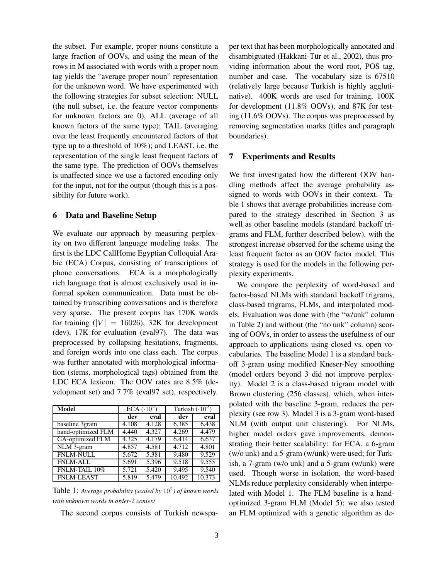the subset. For example, proper nouns constitute a large fraction of OOVs, and using the mean of the rows in M associated with words with a proper noun tag yields the "average proper noun" representation for the unknown word. We have experimented with the following strategies for subset selection: NULL (the null subset, i.e. the feature vector components for unknown factors are 0), ALL (average of all known factors of the same type); TAIL (averaging over the least frequently encountered factors of that type up to a threshold of 10%); and LEAST, i.e. the representation of the single least frequent factors of the same type. The prediction of OOVs themselves is unaffected since we use a factored encoding only for the input, not for the output (though this is a possibility for future work).

### **6 Data and Baseline Setup**

We evaluate our approach by measuring perplexity on two different language modeling tasks. The first is the LDC CallHome Egyptian Colloquial Arabic (ECA) Corpus, consisting of transcriptions of phone conversations. ECA is a morphologically rich language that is almost exclusively used in informal spoken communication. Data must be obtained by transcribing conversations and is therefore very sparse. The present corpus has 170K words for training  $(|V| = 16026)$ , 32K for development (dev), 17K for evaluation (eval97). The data was preprocessed by collapsing hesitations, fragments, and foreign words into one class each. The corpus was further annotated with morphological information (stems, morphological tags) obtained from the LDC ECA lexicon. The OOV rates are 8.5% (development set) and 7.7% (eval97 set), respectively.

| Model                   |                     | $ECA(.10^2)$ | Turkish $(.10^2)$ |        |  |
|-------------------------|---------------------|--------------|-------------------|--------|--|
|                         | dev                 | eval         | dev               | eval   |  |
| baseline 3gram          | 4.108               | 4.128        | 6.385             | 6.438  |  |
| hand-optimized FLM      | $\overline{4}$ .440 | 4.327        | 4.269             | 4.479  |  |
| <b>GA-optimized FLM</b> | 4.325               | 4.179        | 6.414             | 6.637  |  |
| NLM 3-gram              | 4.857               | 4.581        | 4.712             | 4.801  |  |
| <b>FNLM-NULL</b>        | 5.672               | 5.381        | 9.480             | 9.529  |  |
| <b>FNLM-ALL</b>         | 5.691               | 5.396        | 9.518             | 9.555  |  |
| FNLM-TAIL 10%           | 5.721               | 5.420        | 9.495             | 9.540  |  |
| <b>FNLM-LEAST</b>       | 5.819               | 5.479        | 10.492            | 10.373 |  |

Table 1: *Average probability (scaled by* 10<sup>2</sup> *) of known words with unknown words in order-2 context*

The second corpus consists of Turkish newspa-

per text that has been morphologically annotated and disambiguated (Hakkani-Tür et al., 2002), thus providing information about the word root, POS tag, number and case. The vocabulary size is 67510 (relatively large because Turkish is highly agglutinative). 400K words are used for training, 100K for development (11.8% OOVs), and 87K for testing (11.6% OOVs). The corpus was preprocessed by removing segmentation marks (titles and paragraph boundaries).

# **7 Experiments and Results**

We first investigated how the different OOV handling methods affect the average probability assigned to words with OOVs in their context. Table 1 shows that average probabilities increase compared to the strategy described in Section 3 as well as other baseline models (standard backoff trigrams and FLM, further described below), with the strongest increase observed for the scheme using the least frequent factor as an OOV factor model. This strategy is used for the models in the following perplexity experiments.

We compare the perplexity of word-based and factor-based NLMs with standard backoff trigrams, class-based trigrams, FLMs, and interpolated models. Evaluation was done with (the "w/unk" column in Table 2) and without (the "no unk" column) scoring of OOVs, in order to assess the usefulness of our approach to applications using closed vs. open vocabularies. The baseline Model 1 is a standard backoff 3-gram using modified Kneser-Ney smoothing (model orders beyond 3 did not improve perplexity). Model 2 is a class-based trigram model with Brown clustering (256 classes), which, when interpolated with the baseline 3-gram, reduces the perplexity (see row 3). Model 3 is a 3-gram word-based NLM (with output unit clustering). For NLMs, higher model orders gave improvements, demonstrating their better scalability: for ECA, a 6-gram (w/o unk) and a 5-gram (w/unk) were used; for Turkish, a 7-gram (w/o unk) and a 5-gram (w/unk) were used. Though worse in isolation, the word-based NLMs reduce perplexity considerably when interpolated with Model 1. The FLM baseline is a handoptimized 3-gram FLM (Model 5); we also tested an FLM optimized with a genetic algorithm as de-